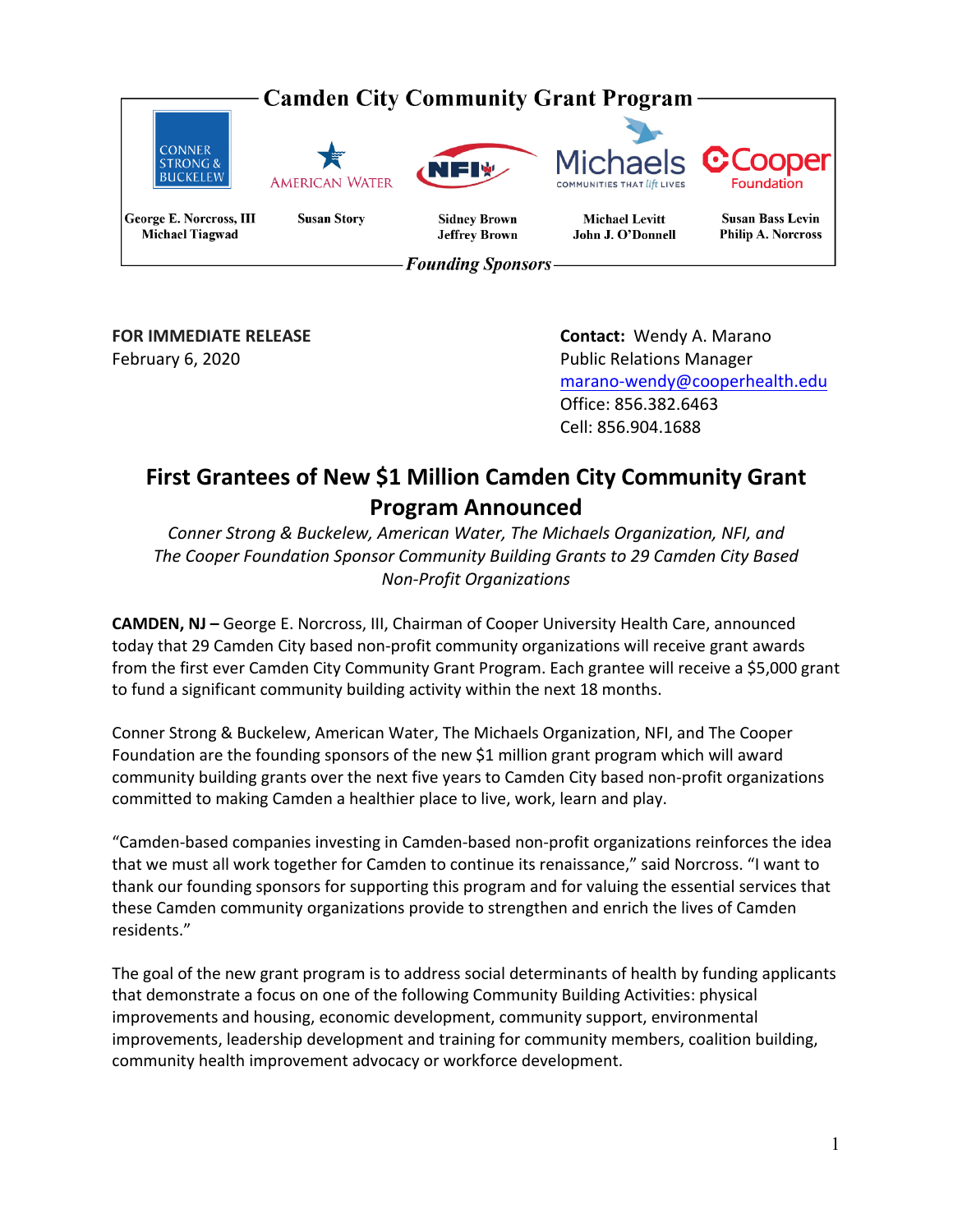

**FOR IMMEDIATE RELEASE Contact:** Wendy A. Marano February 6, 2020 **The Contract of Secure 2018** Public Relations Manager marano‐wendy@cooperhealth.edu Office: 856.382.6463 Cell: 856.904.1688

# **First Grantees of New \$1 Million Camden City Community Grant Program Announced**

*Conner Strong & Buckelew, American Water, The Michaels Organization, NFI, and The Cooper Foundation Sponsor Community Building Grants to 29 Camden City Based Non‐Profit Organizations* 

**CAMDEN, NJ –** George E. Norcross, III, Chairman of Cooper University Health Care, announced today that 29 Camden City based non‐profit community organizations will receive grant awards from the first ever Camden City Community Grant Program. Each grantee will receive a \$5,000 grant to fund a significant community building activity within the next 18 months.

Conner Strong & Buckelew, American Water, The Michaels Organization, NFI, and The Cooper Foundation are the founding sponsors of the new \$1 million grant program which will award community building grants over the next five years to Camden City based non‐profit organizations committed to making Camden a healthier place to live, work, learn and play.

"Camden‐based companies investing in Camden‐based non‐profit organizations reinforces the idea that we must all work together for Camden to continue its renaissance," said Norcross. "I want to thank our founding sponsors for supporting this program and for valuing the essential services that these Camden community organizations provide to strengthen and enrich the lives of Camden residents."

The goal of the new grant program is to address social determinants of health by funding applicants that demonstrate a focus on one of the following Community Building Activities: physical improvements and housing, economic development, community support, environmental improvements, leadership development and training for community members, coalition building, community health improvement advocacy or workforce development.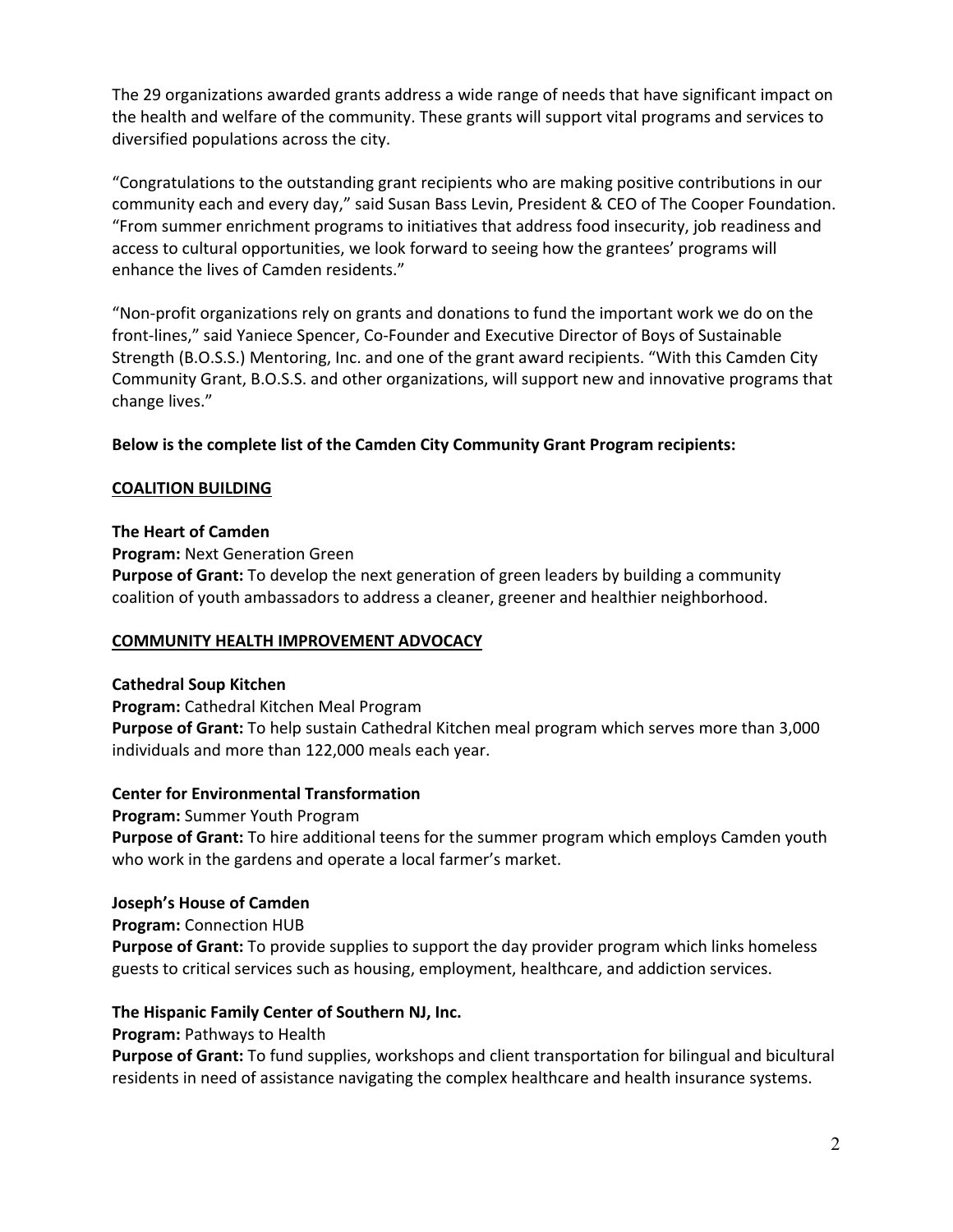The 29 organizations awarded grants address a wide range of needs that have significant impact on the health and welfare of the community. These grants will support vital programs and services to diversified populations across the city.

"Congratulations to the outstanding grant recipients who are making positive contributions in our community each and every day," said Susan Bass Levin, President & CEO of The Cooper Foundation. "From summer enrichment programs to initiatives that address food insecurity, job readiness and access to cultural opportunities, we look forward to seeing how the grantees' programs will enhance the lives of Camden residents."

"Non‐profit organizations rely on grants and donations to fund the important work we do on the front‐lines," said Yaniece Spencer, Co‐Founder and Executive Director of Boys of Sustainable Strength (B.O.S.S.) Mentoring, Inc. and one of the grant award recipients. "With this Camden City Community Grant, B.O.S.S. and other organizations, will support new and innovative programs that change lives."

**Below is the complete list of the Camden City Community Grant Program recipients:**

#### **COALITION BUILDING**

#### **The Heart of Camden**

**Program:** Next Generation Green

**Purpose of Grant:** To develop the next generation of green leaders by building a community coalition of youth ambassadors to address a cleaner, greener and healthier neighborhood.

#### **COMMUNITY HEALTH IMPROVEMENT ADVOCACY**

#### **Cathedral Soup Kitchen**

**Program:** Cathedral Kitchen Meal Program **Purpose of Grant:** To help sustain Cathedral Kitchen meal program which serves more than 3,000 individuals and more than 122,000 meals each year.

# **Center for Environmental Transformation**

**Program:** Summer Youth Program

**Purpose of Grant:** To hire additional teens for the summer program which employs Camden youth who work in the gardens and operate a local farmer's market.

#### **Joseph's House of Camden**

**Program:** Connection HUB

**Purpose of Grant:** To provide supplies to support the day provider program which links homeless guests to critical services such as housing, employment, healthcare, and addiction services.

# **The Hispanic Family Center of Southern NJ, Inc.**

**Program:** Pathways to Health

**Purpose of Grant:** To fund supplies, workshops and client transportation for bilingual and bicultural residents in need of assistance navigating the complex healthcare and health insurance systems.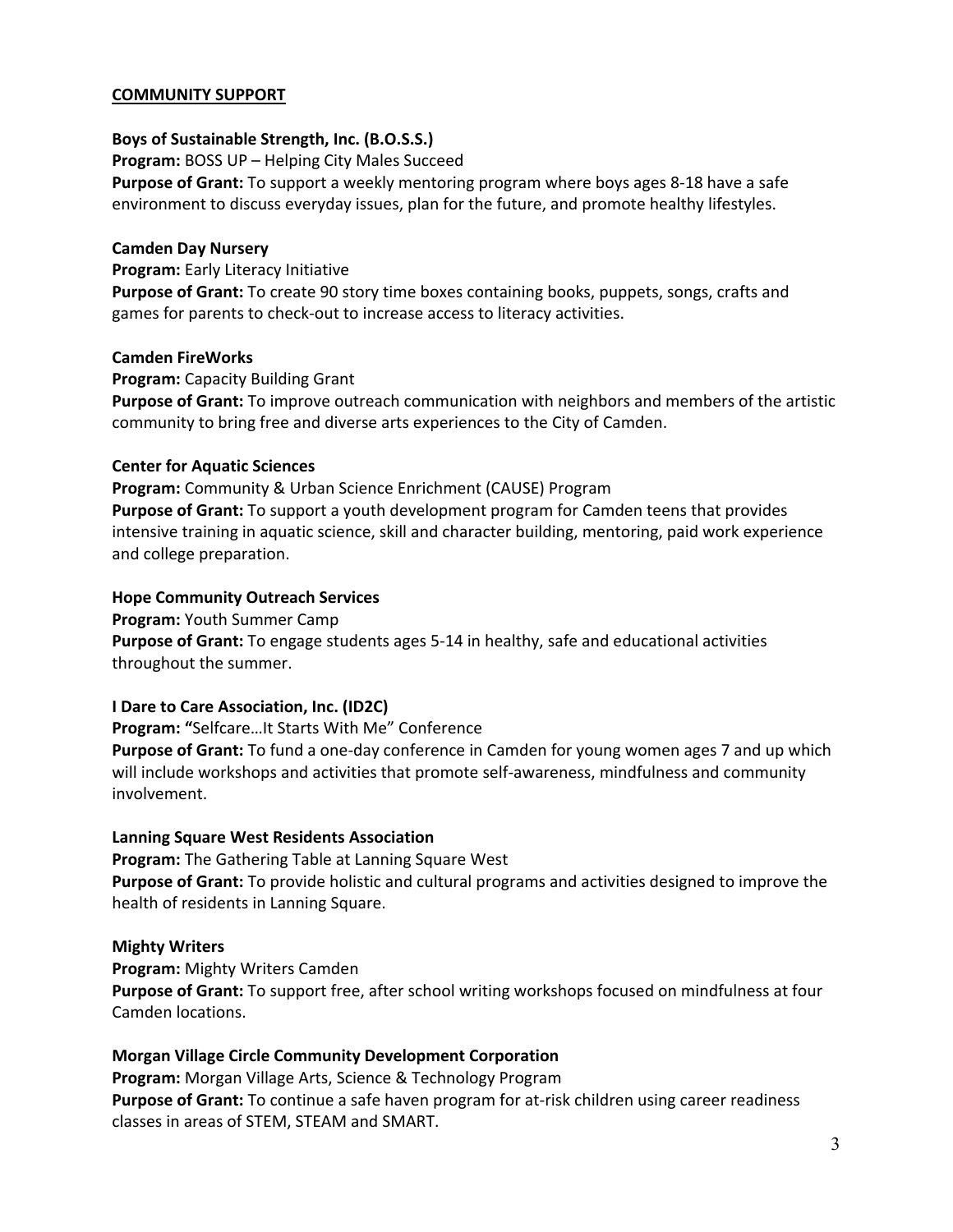#### **COMMUNITY SUPPORT**

#### **Boys of Sustainable Strength, Inc. (B.O.S.S.)**

**Program:** BOSS UP – Helping City Males Succeed **Purpose of Grant:** To support a weekly mentoring program where boys ages 8‐18 have a safe environment to discuss everyday issues, plan for the future, and promote healthy lifestyles.

#### **Camden Day Nursery**

**Program:** Early Literacy Initiative

**Purpose of Grant:** To create 90 story time boxes containing books, puppets, songs, crafts and games for parents to check‐out to increase access to literacy activities.

#### **Camden FireWorks**

**Program:** Capacity Building Grant **Purpose of Grant:** To improve outreach communication with neighbors and members of the artistic community to bring free and diverse arts experiences to the City of Camden.

#### **Center for Aquatic Sciences**

**Program:** Community & Urban Science Enrichment (CAUSE) Program **Purpose of Grant:** To support a youth development program for Camden teens that provides intensive training in aquatic science, skill and character building, mentoring, paid work experience and college preparation.

#### **Hope Community Outreach Services**

**Program:** Youth Summer Camp **Purpose of Grant:** To engage students ages 5‐14 in healthy, safe and educational activities throughout the summer.

# **I Dare to Care Association, Inc. (ID2C)**

**Program: "**Selfcare…It Starts With Me" Conference

**Purpose of Grant:** To fund a one‐day conference in Camden for young women ages 7 and up which will include workshops and activities that promote self-awareness, mindfulness and community involvement.

# **Lanning Square West Residents Association**

**Program:** The Gathering Table at Lanning Square West **Purpose of Grant:** To provide holistic and cultural programs and activities designed to improve the health of residents in Lanning Square.

# **Mighty Writers**

**Program:** Mighty Writers Camden **Purpose of Grant:** To support free, after school writing workshops focused on mindfulness at four Camden locations.

# **Morgan Village Circle Community Development Corporation**

**Program:** Morgan Village Arts, Science & Technology Program **Purpose of Grant:** To continue a safe haven program for at‐risk children using career readiness classes in areas of STEM, STEAM and SMART.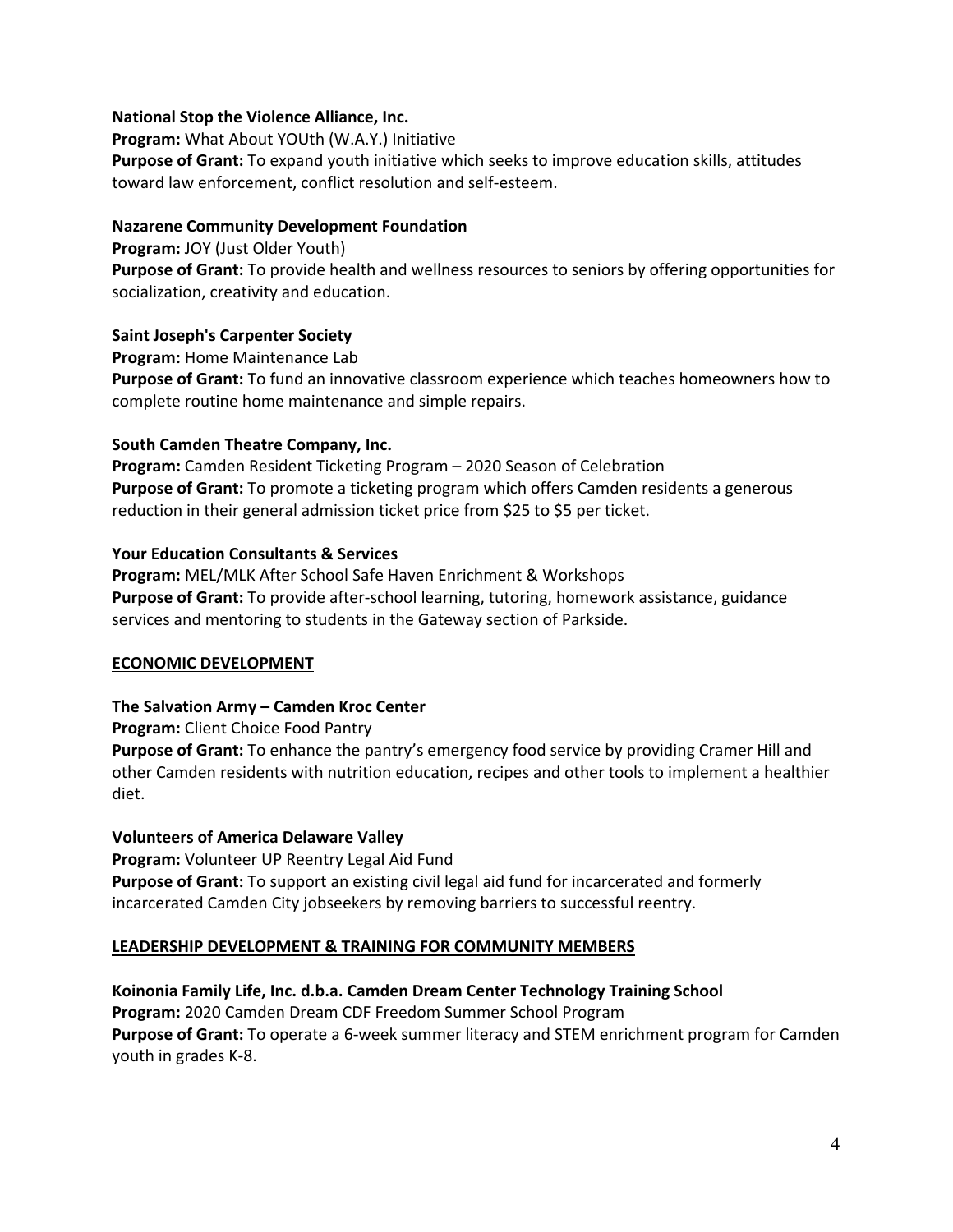#### **National Stop the Violence Alliance, Inc.**

**Program:** What About YOUth (W.A.Y.) Initiative **Purpose of Grant:** To expand youth initiative which seeks to improve education skills, attitudes toward law enforcement, conflict resolution and self‐esteem.

#### **Nazarene Community Development Foundation**

**Program:** JOY (Just Older Youth) **Purpose of Grant:** To provide health and wellness resources to seniors by offering opportunities for socialization, creativity and education.

#### **Saint Joseph's Carpenter Society**

**Program:** Home Maintenance Lab

**Purpose of Grant:** To fund an innovative classroom experience which teaches homeowners how to complete routine home maintenance and simple repairs.

#### **South Camden Theatre Company, Inc.**

**Program:** Camden Resident Ticketing Program – 2020 Season of Celebration **Purpose of Grant:** To promote a ticketing program which offers Camden residents a generous reduction in their general admission ticket price from \$25 to \$5 per ticket.

#### **Your Education Consultants & Services**

**Program:** MEL/MLK After School Safe Haven Enrichment & Workshops **Purpose of Grant:** To provide after‐school learning, tutoring, homework assistance, guidance services and mentoring to students in the Gateway section of Parkside.

# **ECONOMIC DEVELOPMENT**

#### **The Salvation Army – Camden Kroc Center**

**Program:** Client Choice Food Pantry

**Purpose of Grant:** To enhance the pantry's emergency food service by providing Cramer Hill and other Camden residents with nutrition education, recipes and other tools to implement a healthier diet.

#### **Volunteers of America Delaware Valley**

**Program:** Volunteer UP Reentry Legal Aid Fund **Purpose of Grant:** To support an existing civil legal aid fund for incarcerated and formerly incarcerated Camden City jobseekers by removing barriers to successful reentry.

#### **LEADERSHIP DEVELOPMENT & TRAINING FOR COMMUNITY MEMBERS**

**Koinonia Family Life, Inc. d.b.a. Camden Dream Center Technology Training School Program:** 2020 Camden Dream CDF Freedom Summer School Program **Purpose of Grant:** To operate a 6‐week summer literacy and STEM enrichment program for Camden youth in grades K‐8.